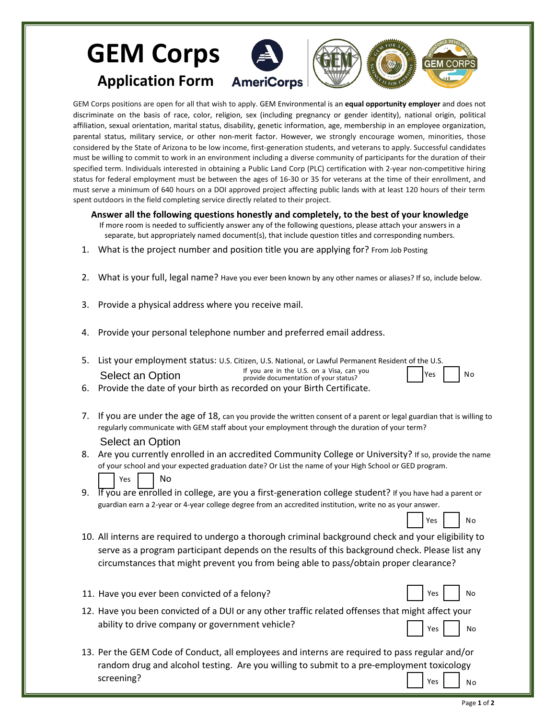## **GEM Corps Application Form**

GEM Corps positions are open for all that wish to apply. GEM Environmental is an **equal opportunity employer** and does not discriminate on the basis of race, color, religion, sex (including pregnancy or gender identity), national origin, political affiliation, sexual orientation, marital status, disability, genetic information, age, membership in an employee organization, parental status, military service, or other non-merit factor. However, we strongly encourage women, minorities, those considered by the State of Arizona to be low income, first-generation students, and veterans to apply. Successful candidates must be willing to commit to work in an environment including a diverse community of participants for the duration of their specified term. Individuals interested in obtaining a Public Land Corp (PLC) certification with 2-year non-competitive hiring status for federal employment must be between the ages of 16-30 or 35 for veterans at the time of their enrollment, and must serve a minimum of 640 hours on a DOI approved project affecting public lands with at least 120 hours of their term spent outdoors in the field completing service directly related to their project.

**Answer all the following questions honestly and completely, to the best of your knowledge**

- If more room is needed to sufficiently answer any of the following questions, please attach your answers in a separate, but appropriately named document(s), that include question titles and corresponding numbers.
- 1. What is the project number and position title you are applying for? From Job Posting
- 2. What is your full, legal name? Have you ever been known by any other names or aliases? If so, include below.
- 3. Provide a physical address where you receive mail.
- 4. Provide your personal telephone number and preferred email address.
- 5. List your employment status: U.S. Citizen, U.S. National, or Lawful Permanent Resident of the U.S. If you are in the U.S. on a Visa, can you provide documentation of your status? Select an Option Yes II No
- 6. Provide the date of your birth as recorded on your Birth Certificate.
- 7. If you are under the age of 18, can you provide the written consent of a parent or legal guardian that is willing to regularly communicate with GEM staff about your employment through the duration of your term? Select an Option
- 8. Are you currently enrolled in an accredited Community College or University? If so, provide the name of your school and your expected graduation date? Or List the name of your High School or GED program. Yes | | No
- 9. If you are enrolled in college, are you a first-generation college student? If you have had a parent or guardian earn a 2-year or 4-year college degree from an accredited institution, write no as your answer.
- 10. All interns are required to undergo a thorough criminal background check and your eligibility to serve as a program participant depends on the results of this background check. Please list any circumstances that might prevent you from being able to pass/obtain proper clearance?
- 11. Have you ever been convicted of a felony? The same state of a set of a felony?
- 12. Have you been convicted of a DUI or any other traffic related offenses that might affect your ability to drive company or government vehicle?  $Yes$  | | No
- 13. Per the GEM Code of Conduct, all employees and interns are required to pass regular and/or random drug and alcohol testing. Are you willing to submit to a pre-employment toxicology screening? Yes  $\vert$   $\vert$  No

Yes | | No